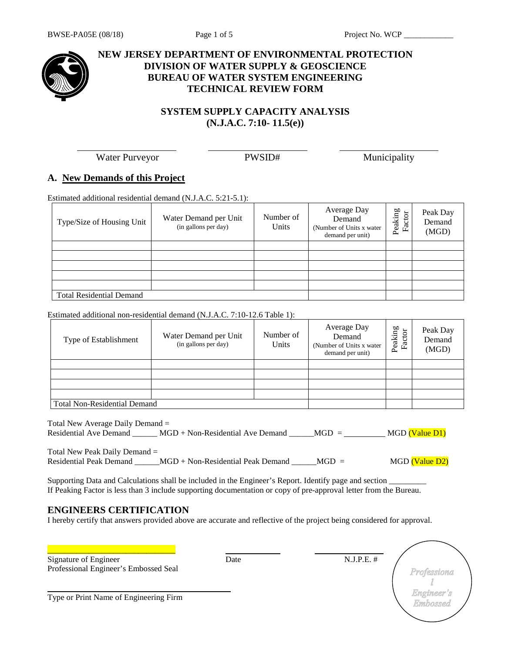

## **NEW JERSEY DEPARTMENT OF ENVIRONMENTAL PROTECTION DIVISION OF WATER SUPPLY & GEOSCIENCE BUREAU OF WATER SYSTEM ENGINEERING TECHNICAL REVIEW FORM**

## **SYSTEM SUPPLY CAPACITY ANALYSIS (N.J.A.C. 7:10- 11.5(e))**

Water Purveyor **PWSID#** Municipality

## **A. New Demands of this Project**

Estimated additional residential demand (N.J.A.C. 5:21-5.1):

| Type/Size of Housing Unit       | Water Demand per Unit<br>(in gallons per day) | Number of<br>Units | Average Day<br>Demand<br>(Number of Units x water)<br>demand per unit) | Peaking<br>Factor | Peak Day<br>Demand<br>(MGD) |
|---------------------------------|-----------------------------------------------|--------------------|------------------------------------------------------------------------|-------------------|-----------------------------|
|                                 |                                               |                    |                                                                        |                   |                             |
|                                 |                                               |                    |                                                                        |                   |                             |
|                                 |                                               |                    |                                                                        |                   |                             |
|                                 |                                               |                    |                                                                        |                   |                             |
|                                 |                                               |                    |                                                                        |                   |                             |
| <b>Total Residential Demand</b> |                                               |                    |                                                                        |                   |                             |

#### Estimated additional non-residential demand (N.J.A.C. 7:10-12.6 Table 1):

| Type of Establishment               | Water Demand per Unit<br>(in gallons per day) | Number of<br>Units | Average Day<br>Demand<br>(Number of Units x water)<br>demand per unit) | Peaking<br>ð<br>Fact | Peak Day<br>Demand<br>(MGD) |
|-------------------------------------|-----------------------------------------------|--------------------|------------------------------------------------------------------------|----------------------|-----------------------------|
|                                     |                                               |                    |                                                                        |                      |                             |
|                                     |                                               |                    |                                                                        |                      |                             |
|                                     |                                               |                    |                                                                        |                      |                             |
|                                     |                                               |                    |                                                                        |                      |                             |
| <b>Total Non-Residential Demand</b> |                                               |                    |                                                                        |                      |                             |

Total New Average Daily Demand = Residential Ave Demand \_\_\_\_\_\_ MGD + Non-Residential Ave Demand \_\_\_\_\_\_ MGD =  $MGD = MGD$  (Value D1)

Total New Peak Daily Demand = Residential Peak Demand \_\_\_\_\_\_MGD + Non-Residential Peak Demand \_\_\_\_\_MGD = MGD (Value D2)

Supporting Data and Calculations shall be included in the Engineer's Report. Identify page and section  $\Box$ If Peaking Factor is less than 3 include supporting documentation or copy of pre-approval letter from the Bureau.

## **ENGINEERS CERTIFICATION**

I hereby certify that answers provided above are accurate and reflective of the project being considered for approval.

| Signature of Engineer                  | Date | $N.J.P.E.$ # |                        |
|----------------------------------------|------|--------------|------------------------|
| Professional Engineer's Embossed Seal  |      |              | Professiona            |
|                                        |      |              |                        |
| Type or Print Name of Engineering Firm |      |              | Engineer's<br>Embossed |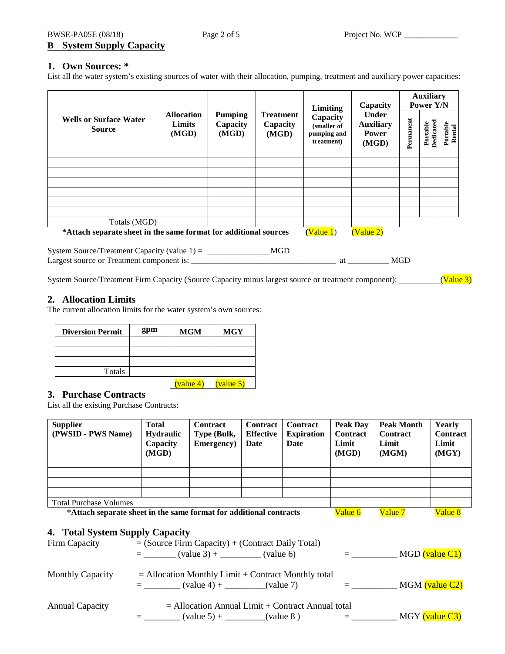BWSE-PA05E (08/18) Page 2 of 5 Project No. WCP \_\_\_\_\_\_\_\_\_\_\_\_\_\_\_\_\_\_\_\_\_\_\_\_\_\_\_\_\_\_\_\_\_ **B System Supply Capacity**

## **1. Own Sources: \***

List all the water system's existing sources of water with their allocation, pumping, treatment and auxiliary power capacities:

| <b>Wells or Surface Water</b><br><b>Source</b>                                                       | <b>Allocation</b><br><b>Pumping</b><br>Limits<br>Capacity<br>(MGD)<br>(MGD) | <b>Treatment</b><br>Capacity<br>(MGD) | <b>Limiting</b><br>Capacity<br>(smaller of<br>pumping and<br>treatment) | Capacity<br><b>Under</b><br><b>Auxiliary</b><br><b>Power</b><br>(MGD) | <b>Auxiliary</b><br>Power Y/N |                              |                    |           |
|------------------------------------------------------------------------------------------------------|-----------------------------------------------------------------------------|---------------------------------------|-------------------------------------------------------------------------|-----------------------------------------------------------------------|-------------------------------|------------------------------|--------------------|-----------|
|                                                                                                      |                                                                             |                                       |                                                                         |                                                                       | Permanent                     | <b>Dedicated</b><br>Portable | Portable<br>Rental |           |
|                                                                                                      |                                                                             |                                       |                                                                         |                                                                       |                               |                              |                    |           |
|                                                                                                      |                                                                             |                                       |                                                                         |                                                                       |                               |                              |                    |           |
|                                                                                                      |                                                                             |                                       |                                                                         |                                                                       |                               |                              |                    |           |
|                                                                                                      |                                                                             |                                       |                                                                         |                                                                       |                               |                              |                    |           |
| Totals (MGD)                                                                                         |                                                                             |                                       |                                                                         |                                                                       |                               |                              |                    |           |
| *Attach separate sheet in the same format for additional sources                                     |                                                                             |                                       |                                                                         | (Value 1)                                                             | (Value 2)                     |                              |                    |           |
|                                                                                                      |                                                                             |                                       |                                                                         |                                                                       |                               | <b>MGD</b>                   |                    |           |
| System Source/Treatment Firm Capacity (Source Capacity minus largest source or treatment component): |                                                                             |                                       |                                                                         |                                                                       |                               |                              |                    | (Value 3) |

### **2. Allocation Limits**

The current allocation limits for the water system's own sources:

| <b>Diversion Permit</b> | gpm | <b>MGM</b>                   | <b>MGY</b> |
|-------------------------|-----|------------------------------|------------|
|                         |     |                              |            |
|                         |     |                              |            |
|                         |     |                              |            |
| Totals                  |     |                              |            |
|                         |     | $\frac{\text{(value 4)}}{ }$ | value 5    |

### **3. Purchase Contracts**

List all the existing Purchase Contracts:

| <b>Supplier</b><br>(PWSID - PWS Name)                                                                                                | Total<br><b>Hydraulic</b><br>Capacity<br>(MGD) | <b>Contract</b><br>Type (Bulk,<br>Emergency) | <b>Contract</b><br><b>Effective</b><br>Date | <b>Contract</b><br><b>Expiration</b><br>Date | Peak Dav<br><b>Contract</b><br>Limit<br>(MGD) | <b>Peak Month</b><br><b>Contract</b><br>Limit<br>(MGM) | Yearly<br>Contract<br>Limit<br>(MGY) |
|--------------------------------------------------------------------------------------------------------------------------------------|------------------------------------------------|----------------------------------------------|---------------------------------------------|----------------------------------------------|-----------------------------------------------|--------------------------------------------------------|--------------------------------------|
|                                                                                                                                      |                                                |                                              |                                             |                                              |                                               |                                                        |                                      |
|                                                                                                                                      |                                                |                                              |                                             |                                              |                                               |                                                        |                                      |
|                                                                                                                                      |                                                |                                              |                                             |                                              |                                               |                                                        |                                      |
| <b>Total Purchase Volumes</b>                                                                                                        |                                                |                                              |                                             |                                              |                                               |                                                        |                                      |
| *Attach separate sheet in the same format for additional contracts                                                                   |                                                |                                              |                                             |                                              | Value 6                                       | Value 7                                                | Value 8                              |
| 4. Total System Supply Capacity<br>$=$ (Source Firm Capacity) + (Contract Daily Total)<br>Firm Capacity<br>$=$ (value 3) + (value 6) |                                                |                                              |                                             | $\equiv$ 1000 $\pm$                          |                                               | $MGD$ (value $Cl$ )                                    |                                      |

|                         | $\left(\text{Value } 3\right)$ +<br>(value o)                                                  | MUD (Value CT) |
|-------------------------|------------------------------------------------------------------------------------------------|----------------|
| <b>Monthly Capacity</b> | $=$ Allocation Monthly Limit + Contract Monthly total<br>$\text{(value 4)} + \text{(value 7)}$ | MGM (value C2) |
| <b>Annual Capacity</b>  | $=$ Allocation Annual Limit + Contract Annual total<br>$\text{(value 5)} + \text{(value 8)}$   | MGY (value C3) |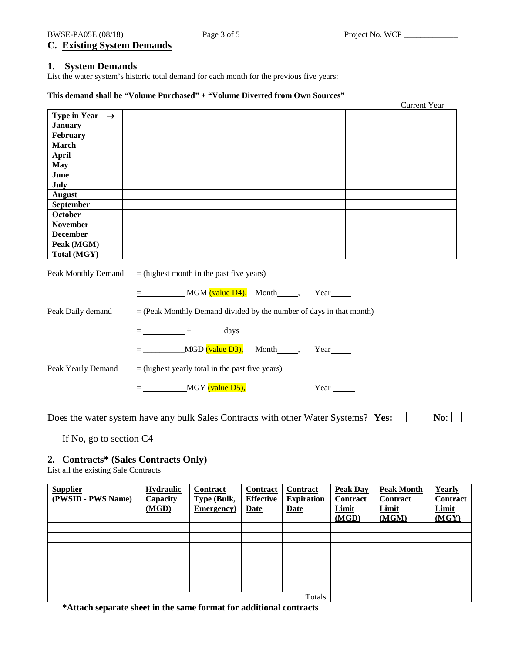### **1. System Demands**

List the water system's historic total demand for each month for the previous five years:

### **This demand shall be "Volume Purchased" + "Volume Diverted from Own Sources"**

|                            |  |  | <b>Current Year</b> |
|----------------------------|--|--|---------------------|
| Type in Year $\rightarrow$ |  |  |                     |
| <b>January</b>             |  |  |                     |
| February                   |  |  |                     |
| <b>March</b>               |  |  |                     |
| <b>April</b>               |  |  |                     |
| <b>May</b>                 |  |  |                     |
| June                       |  |  |                     |
| July                       |  |  |                     |
| <b>August</b>              |  |  |                     |
| September                  |  |  |                     |
| October                    |  |  |                     |
| <b>November</b>            |  |  |                     |
| <b>December</b>            |  |  |                     |
| Peak (MGM)                 |  |  |                     |
| Total (MGY)                |  |  |                     |
|                            |  |  |                     |

| Peak Monthly Demand | $=$ (highest month in the past five years)                            |  |  |  |  |
|---------------------|-----------------------------------------------------------------------|--|--|--|--|
|                     | $MGM$ (value $D4$ ), Month $\qquad \qquad$ ,<br>Year                  |  |  |  |  |
| Peak Daily demand   | $=$ (Peak Monthly Demand divided by the number of days in that month) |  |  |  |  |
|                     | days<br>time and<br><b>Experience</b>                                 |  |  |  |  |
|                     | $MGD$ (value $D3$ ),<br>Month<br>Year<br>$=$                          |  |  |  |  |
| Peak Yearly Demand  | $=$ (highest yearly total in the past five years)                     |  |  |  |  |
|                     | MGY (value D5),<br>Year                                               |  |  |  |  |

Does the water system have any bulk Sales Contracts with other Water Systems? **Yes:** No:  $\Box$ 

If No, go to section C4

## **2. Contracts\* (Sales Contracts Only)**

List all the existing Sale Contracts

| <b>Supplier</b><br>(PWSID - PWS Name) | <b>Hydraulic</b><br><b>Capacity</b><br>(MGD) | Contract<br><b>Type (Bulk,</b><br>Emergency) | Contract<br><b>Effective</b><br><b>Date</b> | Contract<br><b>Expiration</b><br><b>Date</b> | <b>Peak Day</b><br><b>Contract</b><br>Limit<br>(MGD) | <b>Peak Month</b><br><b>Contract</b><br>Limit<br>(MGM) | Yearly<br><b>Contract</b><br>Limit<br>(MGY) |
|---------------------------------------|----------------------------------------------|----------------------------------------------|---------------------------------------------|----------------------------------------------|------------------------------------------------------|--------------------------------------------------------|---------------------------------------------|
|                                       |                                              |                                              |                                             |                                              |                                                      |                                                        |                                             |
|                                       |                                              |                                              |                                             |                                              |                                                      |                                                        |                                             |
|                                       |                                              |                                              |                                             |                                              |                                                      |                                                        |                                             |
|                                       |                                              |                                              |                                             |                                              |                                                      |                                                        |                                             |
|                                       |                                              |                                              |                                             |                                              |                                                      |                                                        |                                             |
|                                       |                                              |                                              |                                             |                                              |                                                      |                                                        |                                             |
|                                       |                                              |                                              |                                             |                                              |                                                      |                                                        |                                             |
|                                       |                                              |                                              |                                             | Totals                                       |                                                      |                                                        |                                             |

**\*Attach separate sheet in the same format for additional contracts**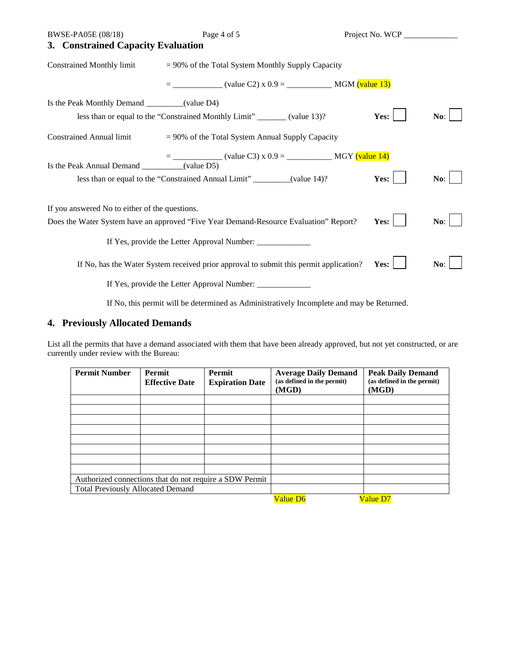| BWSE-PA05E (08/18)                               | Page 4 of 5                                                                            | Project No. WCP _____________ |     |
|--------------------------------------------------|----------------------------------------------------------------------------------------|-------------------------------|-----|
| 3. Constrained Capacity Evaluation               |                                                                                        |                               |     |
| <b>Constrained Monthly limit</b>                 | $= 90\%$ of the Total System Monthly Supply Capacity                                   |                               |     |
|                                                  |                                                                                        |                               |     |
| Is the Peak Monthly Demand ___________(value D4) |                                                                                        |                               |     |
|                                                  | less than or equal to the "Constrained Monthly Limit" _______ (value 13)?              | Yes:                          | No: |
| <b>Constrained Annual limit</b>                  | $= 90\%$ of the Total System Annual Supply Capacity                                    |                               |     |
|                                                  |                                                                                        |                               |     |
| Is the Peak Annual Demand __________(value D5)   |                                                                                        |                               |     |
|                                                  | less than or equal to the "Constrained Annual Limit" ________(value 14)?               | Yes:                          | No: |
| If you answered No to either of the questions.   |                                                                                        |                               |     |
|                                                  | Does the Water System have an approved "Five Year Demand-Resource Evaluation" Report?  | Yes:                          | No: |
|                                                  |                                                                                        |                               |     |
|                                                  | If No, has the Water System received prior approval to submit this permit application? | Yes:                          | No: |
|                                                  | If Yes, provide the Letter Approval Number: ____________                               |                               |     |

If No, this permit will be determined as Administratively Incomplete and may be Returned.

## **4. Previously Allocated Demands**

List all the permits that have a demand associated with them that have been already approved, but not yet constructed, or are currently under review with the Bureau:

| <b>Permit Number</b>                     | <b>Permit</b><br><b>Effective Date</b> | <b>Permit</b><br><b>Expiration Date</b>                 | <b>Average Daily Demand</b><br>(as defined in the permit)<br>(MGD) | <b>Peak Daily Demand</b><br>(as defined in the permit)<br>(MGD) |
|------------------------------------------|----------------------------------------|---------------------------------------------------------|--------------------------------------------------------------------|-----------------------------------------------------------------|
|                                          |                                        |                                                         |                                                                    |                                                                 |
|                                          |                                        |                                                         |                                                                    |                                                                 |
|                                          |                                        |                                                         |                                                                    |                                                                 |
|                                          |                                        |                                                         |                                                                    |                                                                 |
|                                          |                                        |                                                         |                                                                    |                                                                 |
|                                          |                                        |                                                         |                                                                    |                                                                 |
|                                          |                                        |                                                         |                                                                    |                                                                 |
|                                          |                                        |                                                         |                                                                    |                                                                 |
|                                          |                                        | Authorized connections that do not require a SDW Permit |                                                                    |                                                                 |
| <b>Total Previously Allocated Demand</b> |                                        |                                                         |                                                                    |                                                                 |
|                                          |                                        |                                                         | Value D6                                                           | Value D7                                                        |